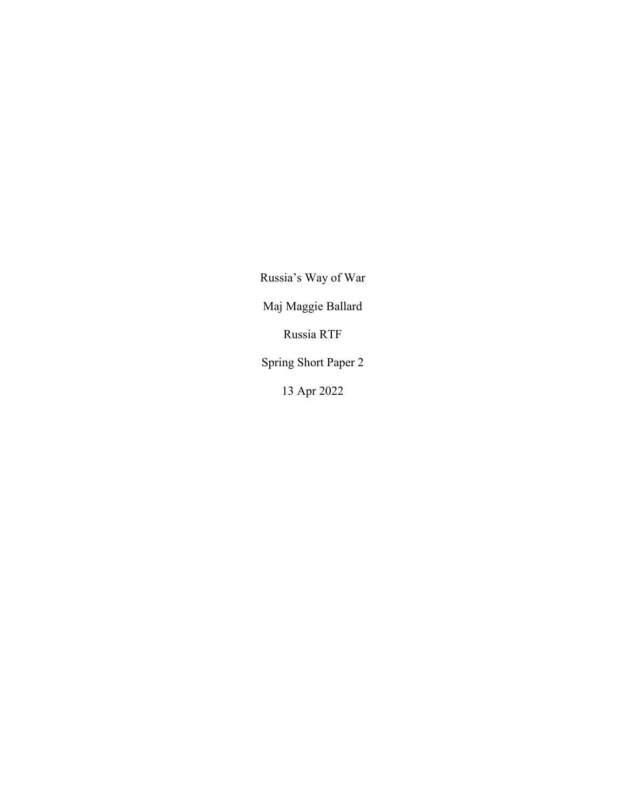Russia's Way of War Maj Maggie Ballard Russia RTF Spring Short Paper 2 13 Apr 2022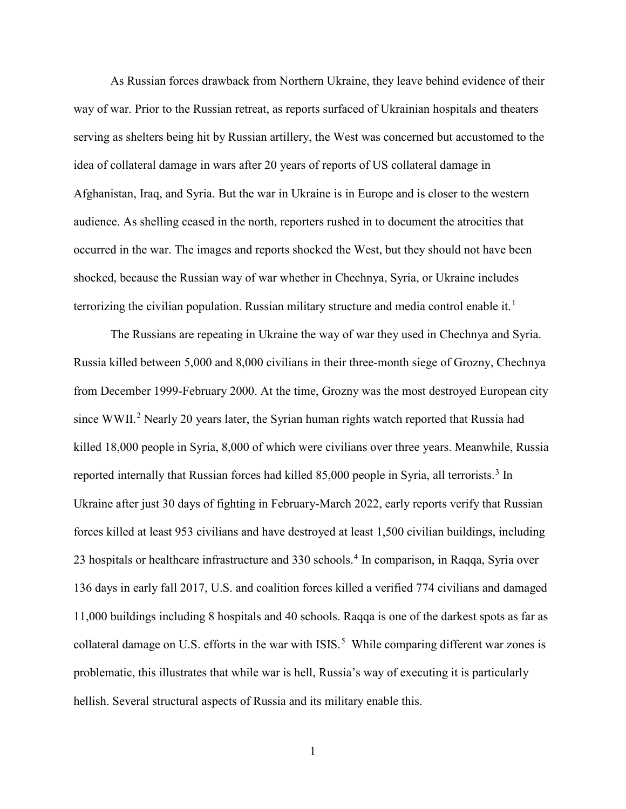As Russian forces drawback from Northern Ukraine, they leave behind evidence of their way of war. Prior to the Russian retreat, as reports surfaced of Ukrainian hospitals and theaters serving as shelters being hit by Russian artillery, the West was concerned but accustomed to the idea of collateral damage in wars after 20 years of reports of US collateral damage in Afghanistan, Iraq, and Syria. But the war in Ukraine is in Europe and is closer to the western audience. As shelling ceased in the north, reporters rushed in to document the atrocities that occurred in the war. The images and reports shocked the West, but they should not have been shocked, because the Russian way of war whether in Chechnya, Syria, or Ukraine includes terrorizing the civilian population. Russian military structure and media control enable it.<sup>[1](#page-3-0)</sup>

The Russians are repeating in Ukraine the way of war they used in Chechnya and Syria. Russia killed between 5,000 and 8,000 civilians in their three-month siege of Grozny, Chechnya from December 1999-February 2000. At the time, Grozny was the most destroyed European city since WWII.<sup>[2](#page-3-1)</sup> Nearly 20 years later, the Syrian human rights watch reported that Russia had killed 18,000 people in Syria, 8,000 of which were civilians over three years. Meanwhile, Russia reported internally that Russian forces had killed 85,000 people in Syria, all terrorists.<sup>[3](#page-3-2)</sup> In Ukraine after just 30 days of fighting in February-March 2022, early reports verify that Russian forces killed at least 953 civilians and have destroyed at least 1,500 civilian buildings, including 23 hospitals or healthcare infrastructure and 330 schools. [4](#page-3-3) In comparison, in Raqqa, Syria over 136 days in early fall 2017, U.S. and coalition forces killed a verified 774 civilians and damaged 11,000 buildings including 8 hospitals and 40 schools. Raqqa is one of the darkest spots as far as collateral damage on U.S. efforts in the war with  $ISIS$ <sup>[5](#page-3-4)</sup> While comparing different war zones is problematic, this illustrates that while war is hell, Russia's way of executing it is particularly hellish. Several structural aspects of Russia and its military enable this.

1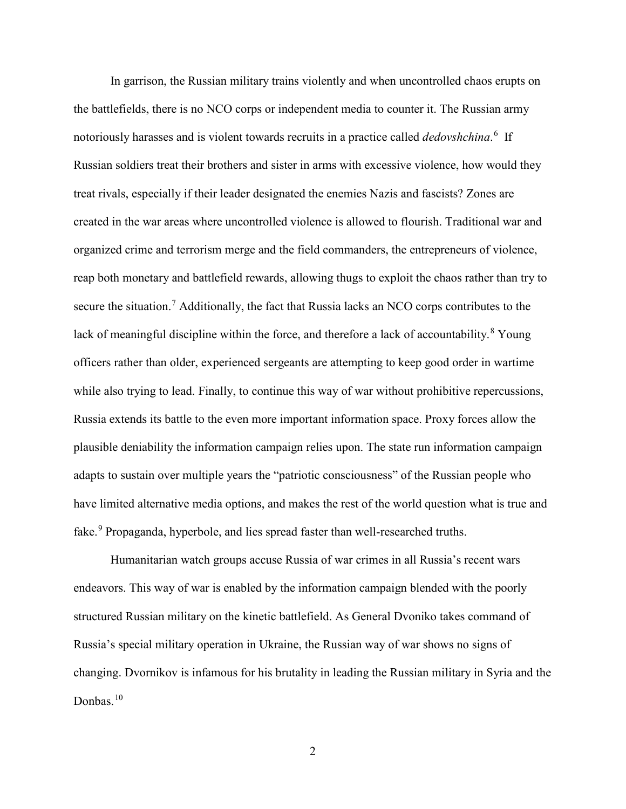In garrison, the Russian military trains violently and when uncontrolled chaos erupts on the battlefields, there is no NCO corps or independent media to counter it. The Russian army notoriously harasses and is violent towards recruits in a practice called *dedovshchina*. [6](#page-3-5) If Russian soldiers treat their brothers and sister in arms with excessive violence, how would they treat rivals, especially if their leader designated the enemies Nazis and fascists? Zones are created in the war areas where uncontrolled violence is allowed to flourish. Traditional war and organized crime and terrorism merge and the field commanders, the entrepreneurs of violence, reap both monetary and battlefield rewards, allowing thugs to exploit the chaos rather than try to secure the situation.<sup>[7](#page-3-6)</sup> Additionally, the fact that Russia lacks an NCO corps contributes to the lack of meaningful discipline within the force, and therefore a lack of accountability.<sup>[8](#page-3-7)</sup> Young officers rather than older, experienced sergeants are attempting to keep good order in wartime while also trying to lead. Finally, to continue this way of war without prohibitive repercussions, Russia extends its battle to the even more important information space. Proxy forces allow the plausible deniability the information campaign relies upon. The state run information campaign adapts to sustain over multiple years the "patriotic consciousness" of the Russian people who have limited alternative media options, and makes the rest of the world question what is true and fake.<sup>[9](#page-3-8)</sup> Propaganda, hyperbole, and lies spread faster than well-researched truths.

Humanitarian watch groups accuse Russia of war crimes in all Russia's recent wars endeavors. This way of war is enabled by the information campaign blended with the poorly structured Russian military on the kinetic battlefield. As General Dvoniko takes command of Russia's special military operation in Ukraine, the Russian way of war shows no signs of changing. Dvornikov is infamous for his brutality in leading the Russian military in Syria and the Donbas.<sup>[10](#page-3-9)</sup>

2